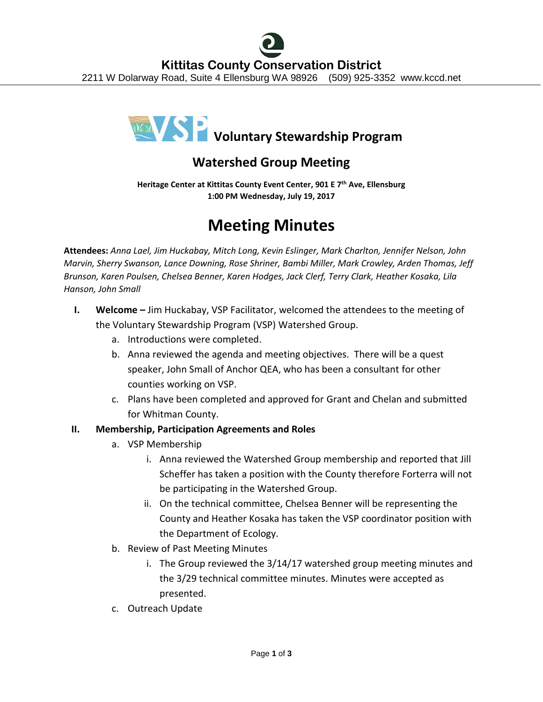

## **Watershed Group Meeting**

**Heritage Center at Kittitas County Event Center, 901 E 7th Ave, Ellensburg 1:00 PM Wednesday, July 19, 2017**

# **Meeting Minutes**

**Attendees:** *Anna Lael, Jim Huckabay, Mitch Long, Kevin Eslinger, Mark Charlton, Jennifer Nelson, John Marvin, Sherry Swanson, Lance Downing, Rose Shriner, Bambi Miller, Mark Crowley, Arden Thomas, Jeff Brunson, Karen Poulsen, Chelsea Benner, Karen Hodges, Jack Clerf, Terry Clark, Heather Kosaka, Lila Hanson, John Small*

- **I. Welcome –** Jim Huckabay, VSP Facilitator, welcomed the attendees to the meeting of the Voluntary Stewardship Program (VSP) Watershed Group.
	- a. Introductions were completed.
	- b. Anna reviewed the agenda and meeting objectives. There will be a quest speaker, John Small of Anchor QEA, who has been a consultant for other counties working on VSP.
	- c. Plans have been completed and approved for Grant and Chelan and submitted for Whitman County.

### **II. Membership, Participation Agreements and Roles**

- a. VSP Membership
	- i. Anna reviewed the Watershed Group membership and reported that Jill Scheffer has taken a position with the County therefore Forterra will not be participating in the Watershed Group.
	- ii. On the technical committee, Chelsea Benner will be representing the County and Heather Kosaka has taken the VSP coordinator position with the Department of Ecology.
- b. Review of Past Meeting Minutes
	- i. The Group reviewed the 3/14/17 watershed group meeting minutes and the 3/29 technical committee minutes. Minutes were accepted as presented.
- c. Outreach Update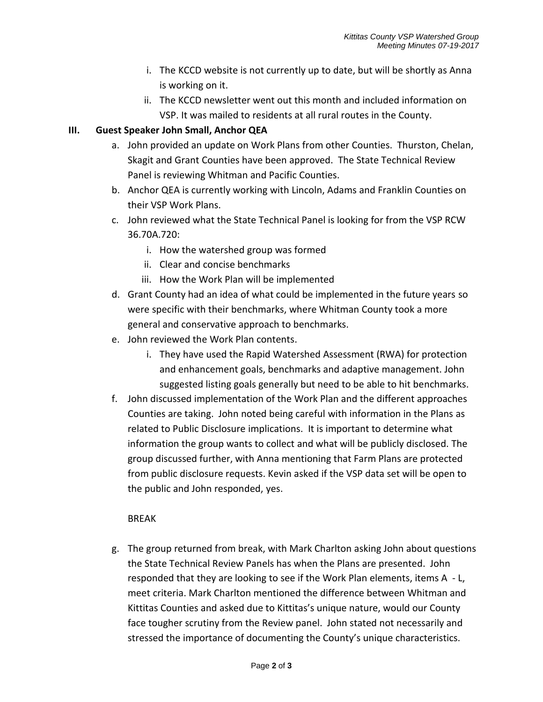- i. The KCCD website is not currently up to date, but will be shortly as Anna is working on it.
- ii. The KCCD newsletter went out this month and included information on VSP. It was mailed to residents at all rural routes in the County.

#### **III. Guest Speaker John Small, Anchor QEA**

- a. John provided an update on Work Plans from other Counties. Thurston, Chelan, Skagit and Grant Counties have been approved. The State Technical Review Panel is reviewing Whitman and Pacific Counties.
- b. Anchor QEA is currently working with Lincoln, Adams and Franklin Counties on their VSP Work Plans.
- c. John reviewed what the State Technical Panel is looking for from the VSP RCW 36.70A.720:
	- i. How the watershed group was formed
	- ii. Clear and concise benchmarks
	- iii. How the Work Plan will be implemented
- d. Grant County had an idea of what could be implemented in the future years so were specific with their benchmarks, where Whitman County took a more general and conservative approach to benchmarks.
- e. John reviewed the Work Plan contents.
	- i. They have used the Rapid Watershed Assessment (RWA) for protection and enhancement goals, benchmarks and adaptive management. John suggested listing goals generally but need to be able to hit benchmarks.
- f. John discussed implementation of the Work Plan and the different approaches Counties are taking. John noted being careful with information in the Plans as related to Public Disclosure implications. It is important to determine what information the group wants to collect and what will be publicly disclosed. The group discussed further, with Anna mentioning that Farm Plans are protected from public disclosure requests. Kevin asked if the VSP data set will be open to the public and John responded, yes.

### BREAK

g. The group returned from break, with Mark Charlton asking John about questions the State Technical Review Panels has when the Plans are presented. John responded that they are looking to see if the Work Plan elements, items A - L, meet criteria. Mark Charlton mentioned the difference between Whitman and Kittitas Counties and asked due to Kittitas's unique nature, would our County face tougher scrutiny from the Review panel. John stated not necessarily and stressed the importance of documenting the County's unique characteristics.